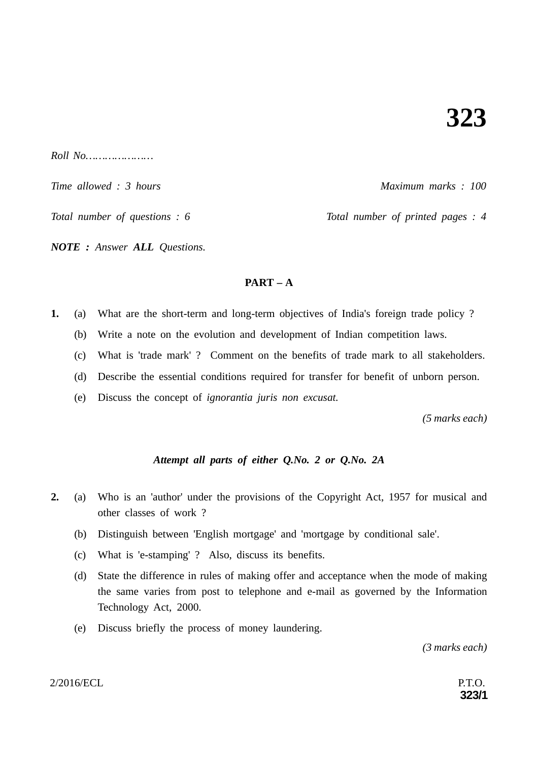*Roll No…………………*

*Time allowed : 3 hours* Allows 2000 *Maximum marks : 100* 

*Total number of questions : 6* Total number of printed pages : 4

*NOTE : Answer ALL Questions.*

# **PART – A**

- **1.** (a) What are the short-term and long-term objectives of India's foreign trade policy ?
	- (b) Write a note on the evolution and development of Indian competition laws.
	- (c) What is 'trade mark' ? Comment on the benefits of trade mark to all stakeholders.
	- (d) Describe the essential conditions required for transfer for benefit of unborn person.
	- (e) Discuss the concept of *ignorantia juris non excusat.*

*(5 marks each)*

# *Attempt all parts of either Q.No. 2 or Q.No. 2A*

- **2.** (a) Who is an 'author' under the provisions of the Copyright Act, 1957 for musical and other classes of work ?
	- (b) Distinguish between 'English mortgage' and 'mortgage by conditional sale'.
	- (c) What is 'e-stamping' ? Also, discuss its benefits.
	- (d) State the difference in rules of making offer and acceptance when the mode of making the same varies from post to telephone and e-mail as governed by the Information Technology Act, 2000.
	- (e) Discuss briefly the process of money laundering.

*(3 marks each)*

### $2/2016/ECL$  P.T.O.

**323/1**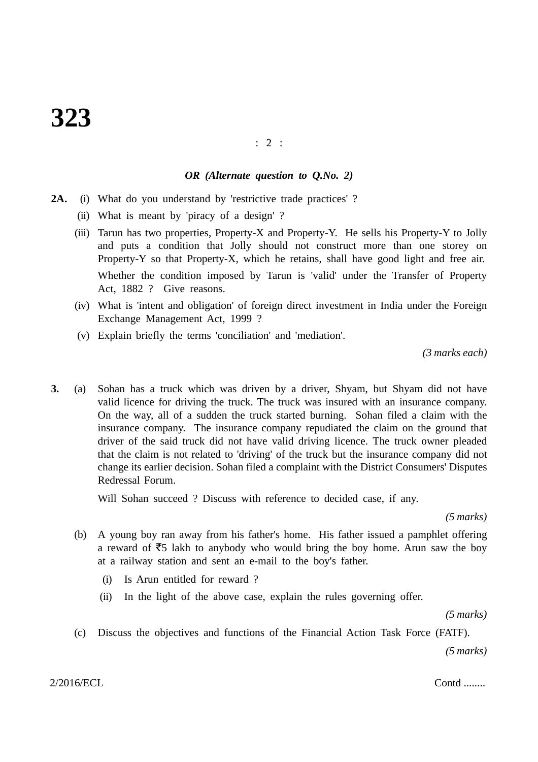## : 2 :

#### *OR (Alternate question to Q.No. 2)*

- **2A.** (i) What do you understand by 'restrictive trade practices' ?
	- (ii) What is meant by 'piracy of a design' ?
	- (iii) Tarun has two properties, Property-X and Property-Y. He sells his Property-Y to Jolly and puts a condition that Jolly should not construct more than one storey on Property-Y so that Property-X, which he retains, shall have good light and free air. Whether the condition imposed by Tarun is 'valid' under the Transfer of Property Act, 1882 ? Give reasons.
	- (iv) What is 'intent and obligation' of foreign direct investment in India under the Foreign Exchange Management Act, 1999 ?
	- (v) Explain briefly the terms 'conciliation' and 'mediation'.

*(3 marks each)*

**3.** (a) Sohan has a truck which was driven by a driver, Shyam, but Shyam did not have valid licence for driving the truck. The truck was insured with an insurance company. On the way, all of a sudden the truck started burning. Sohan filed a claim with the insurance company. The insurance company repudiated the claim on the ground that driver of the said truck did not have valid driving licence. The truck owner pleaded that the claim is not related to 'driving' of the truck but the insurance company did not change its earlier decision. Sohan filed a complaint with the District Consumers' Disputes Redressal Forum.

Will Sohan succeed ? Discuss with reference to decided case, if any.

*(5 marks)*

- (b) A young boy ran away from his father's home. His father issued a pamphlet offering a reward of  $\overline{55}$  lakh to anybody who would bring the boy home. Arun saw the boy at a railway station and sent an e-mail to the boy's father.
	- (i) Is Arun entitled for reward ?
	- (ii) In the light of the above case, explain the rules governing offer.

*(5 marks)*

(c) Discuss the objectives and functions of the Financial Action Task Force (FATF).

*(5 marks)*

2/2016/ECL Contd ........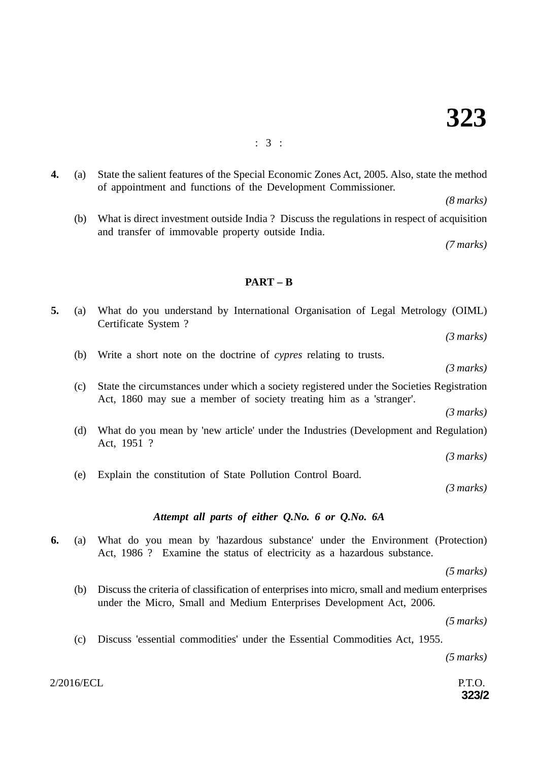**4.** (a) State the salient features of the Special Economic Zones Act, 2005. Also, state the method of appointment and functions of the Development Commissioner.

*(8 marks)*

(b) What is direct investment outside India ? Discuss the regulations in respect of acquisition and transfer of immovable property outside India.

*(7 marks)*

## **PART – B**

| 5. | (a) | What do you understand by International Organisation of Legal Metrology (OIML)<br>Certificate System?                                                            |
|----|-----|------------------------------------------------------------------------------------------------------------------------------------------------------------------|
|    |     | (3 marks)                                                                                                                                                        |
|    | (b) | Write a short note on the doctrine of <i>cypres</i> relating to trusts.                                                                                          |
|    |     | (3 marks)                                                                                                                                                        |
|    | (c) | State the circumstances under which a society registered under the Societies Registration<br>Act, 1860 may sue a member of society treating him as a 'stranger'. |
|    |     | (3 marks)                                                                                                                                                        |
|    | (d) | What do you mean by 'new article' under the Industries (Development and Regulation)<br>Act, 1951 ?                                                               |
|    |     | $(3 \text{ marks})$                                                                                                                                              |
|    | (e) | Explain the constitution of State Pollution Control Board.                                                                                                       |
|    |     | (3 marks)                                                                                                                                                        |
|    |     | Attempt all parts of either Q.No. 6 or Q.No. 6A                                                                                                                  |
| 6. | (a) | What do you mean by 'hazardous substance' under the Environment (Protection)<br>Act, 1986 ? Examine the status of electricity as a hazardous substance.          |
|    |     | $(5 \text{ marks})$                                                                                                                                              |
|    | (b) | Discuss the criteria of classification of enterprises into micro, small and medium enterprises                                                                   |

- *(5 marks)*
- (c) Discuss 'essential commodities' under the Essential Commodities Act, 1955.

under the Micro, Small and Medium Enterprises Development Act, 2006.

*(5 marks)*

 $2/2016/ECL$  P.T.O.

**323/2**